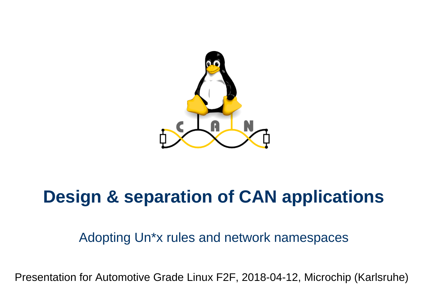

# **Design & separation of CAN applications**

#### Adopting Un\*x rules and network namespaces

Presentation for Automotive Grade Linux F2F, 2018-04-12, Microchip (Karlsruhe)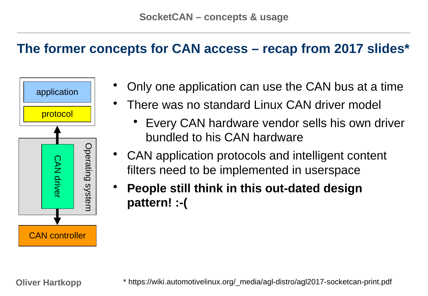#### **The former concepts for CAN access – recap from 2017 slides\***



- Only one application can use the CAN bus at a time
	- There was no standard Linux CAN driver model
		- Every CAN hardware vendor sells his own driver bundled to his CAN hardware
- CAN application protocols and intelligent content filters need to be implemented in userspace
- **People still think in this out-dated design pattern! :-(**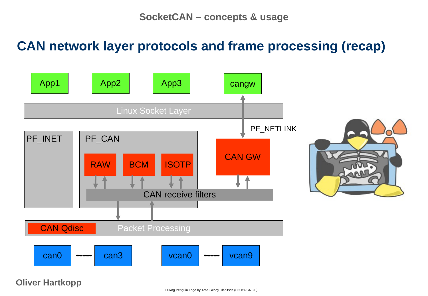#### **CAN network layer protocols and frame processing (recap)**

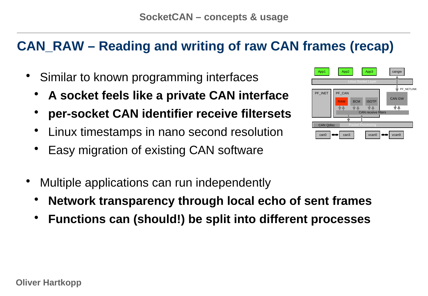# **CAN\_RAW – Reading and writing of raw CAN frames (recap)**

- Similar to known programming interfaces
	- **A socket feels like a private CAN interface**
	- **per-socket CAN identifier receive filtersets**
	- Linux timestamps in nano second resolution
	- Easy migration of existing CAN software



- **Network transparency through local echo of sent frames**
- **Functions can (should!) be split into different processes**

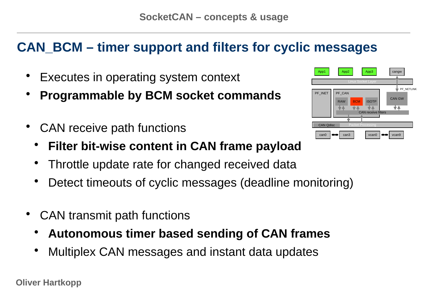# **CAN\_BCM – timer support and filters for cyclic messages**

- Executes in operating system context
- **Programmable by BCM socket commands**
- CAN receive path functions
	- **Filter bit-wise content in CAN frame payload**
	- Throttle update rate for changed received data
	- Detect timeouts of cyclic messages (deadline monitoring)
- CAN transmit path functions
	- **Autonomous timer based sending of CAN frames**
	- Multiplex CAN messages and instant data updates

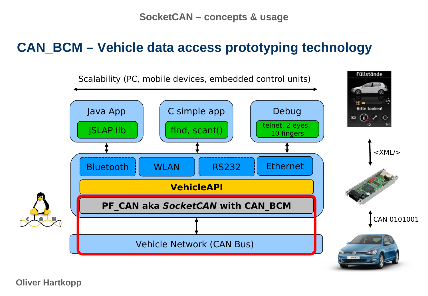#### **CAN\_BCM – Vehicle data access prototyping technology**

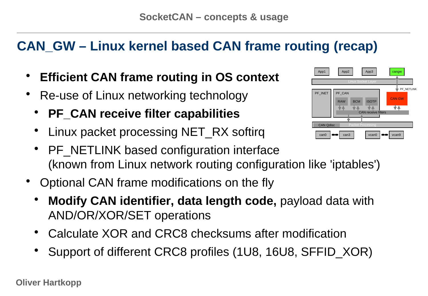# **CAN\_GW – Linux kernel based CAN frame routing (recap)**

- **Efficient CAN frame routing in OS context**
- Re-use of Linux networking technology
	- **PF\_CAN receive filter capabilities**
	- Linux packet processing NET RX softirg
	- PF\_NETLINK based configuration interface (known from Linux network routing configuration like 'iptables')
- Optional CAN frame modifications on the fly
	- **Modify CAN identifier, data length code,** payload data with AND/OR/XOR/SET operations
	- Calculate XOR and CRC8 checksums after modification
	- Support of different CRC8 profiles (1U8, 16U8, SFFID XOR)

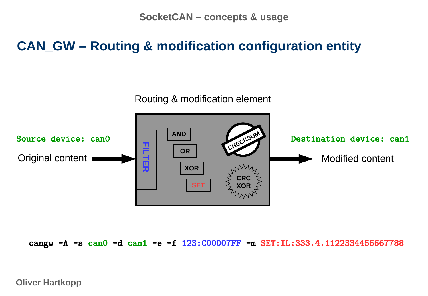#### **CAN\_GW – Routing & modification configuration entity**



cangw -A -s can0 -d can1 -e -f 123:C00007FF -m SET:IL:333.4.1122334455667788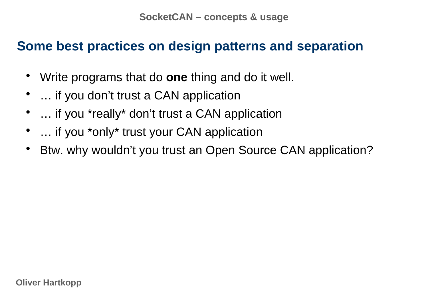#### **Some best practices on design patterns and separation**

- Write programs that do **one** thing and do it well.
- … if you don't trust a CAN application
- ... if you \*really\* don't trust a CAN application
- ... if you \*only\* trust your CAN application
- Btw. why wouldn't you trust an Open Source CAN application?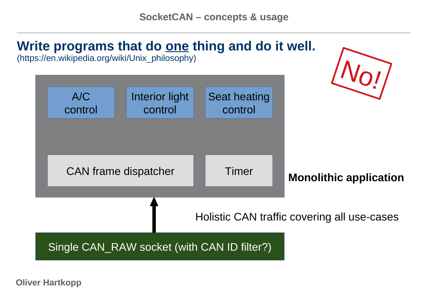# **Write programs that do one thing and do it well.**

(https://en.wikipedia.org/wiki/Unix\_philosophy)

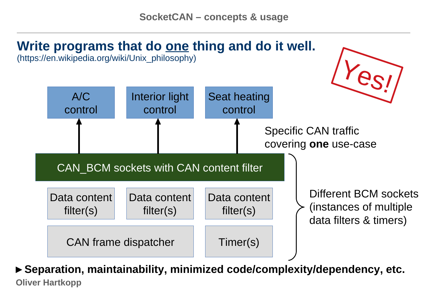

(https://en.wikipedia.org/wiki/Unix\_philosophy)



**Oliver Hartkopp ►Separation, maintainability, minimized code/complexity/dependency, etc.**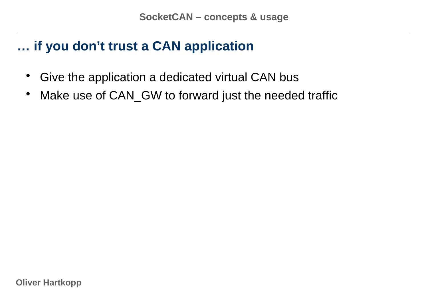#### **… if you don't trust a CAN application**

- Give the application a dedicated virtual CAN bus
- Make use of CAN GW to forward just the needed traffic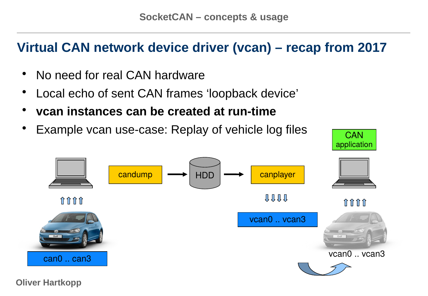# **Virtual CAN network device driver (vcan) – recap from 2017**

- No need for real CAN hardware
- Local echo of sent CAN frames 'loopback device'
- **vcan instances can be created at run-time**
- Example vcan use-case: Replay of vehicle log files  $\overline{C_{\mathsf{CAN}}}$



application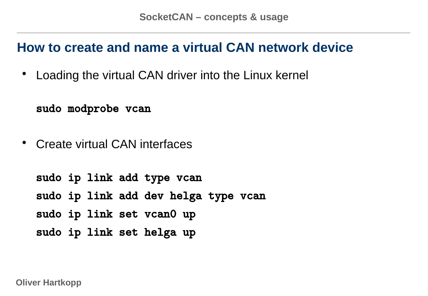#### **How to create and name a virtual CAN network device**

• Loading the virtual CAN driver into the Linux kernel

sudo modprobe vcan

• Create virtual CAN interfaces

sudo ip link add type vcan sudo ip link add dev helga type vcan sudo ip link set vcan0 up sudo ip link set helga up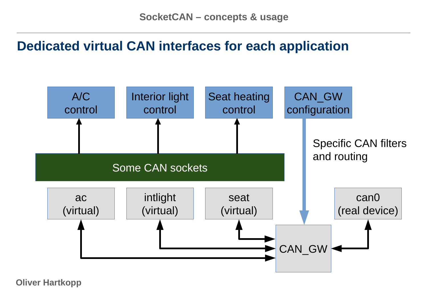# **Dedicated virtual CAN interfaces for each application**

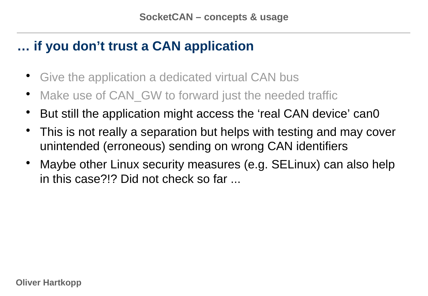# **… if you don't trust a CAN application**

- Give the application a dedicated virtual CAN bus
- Make use of CAN GW to forward just the needed traffic
- But still the application might access the 'real CAN device' can0
- This is not really a separation but helps with testing and may cover unintended (erroneous) sending on wrong CAN identifiers
- Maybe other Linux security measures (e.g. SELinux) can also help in this case?!? Did not check so far ...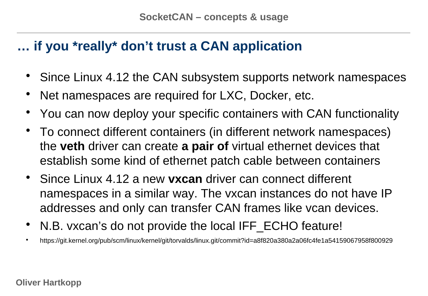# **… if you \*really\* don't trust a CAN application**

- Since Linux 4.12 the CAN subsystem supports network namespaces
- Net namespaces are required for LXC, Docker, etc.
- You can now deploy your specific containers with CAN functionality
- To connect different containers (in different network namespaces) the **veth** driver can create **a pair of** virtual ethernet devices that establish some kind of ethernet patch cable between containers
- Since Linux 4.12 a new **vxcan** driver can connect different namespaces in a similar way. The vxcan instances do not have IP addresses and only can transfer CAN frames like vcan devices.
- N.B. vxcan's do not provide the local IFF ECHO feature!
- <https://git.kernel.org/pub/scm/linux/kernel/git/torvalds/linux.git/commit?id=a8f820a380a2a06fc4fe1a54159067958f800929>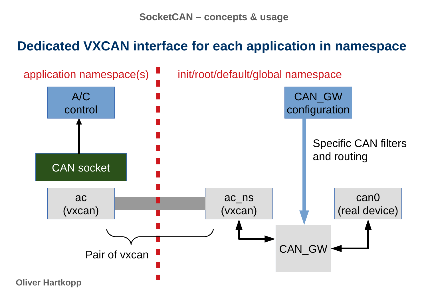#### **Dedicated VXCAN interface for each application in namespace**

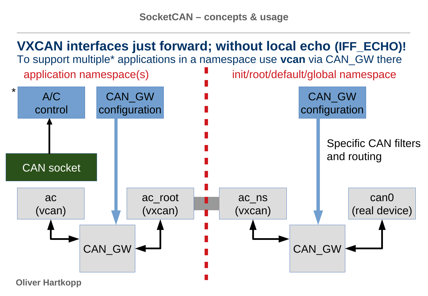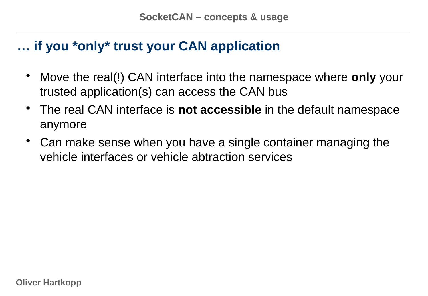#### **… if you \*only\* trust your CAN application**

- Move the real(!) CAN interface into the namespace where **only** your trusted application(s) can access the CAN bus
- The real CAN interface is **not accessible** in the default namespace anymore
- Can make sense when you have a single container managing the vehicle interfaces or vehicle abtraction services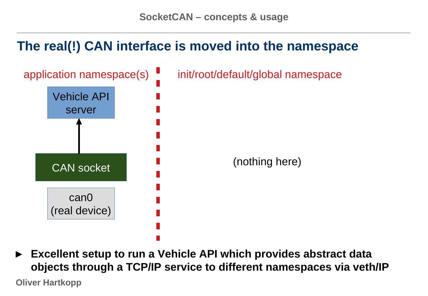# **The real(!) CAN interface is moved into the namespace**



**► Excellent setup to run a Vehicle API which provides abstract data objects through a TCP/IP service to different namespaces via veth/IP**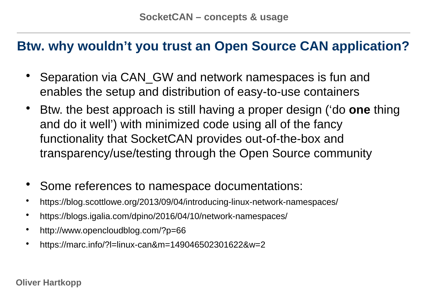#### **Btw. why wouldn't you trust an Open Source CAN application?**

- Separation via CAN GW and network namespaces is fun and enables the setup and distribution of easy-to-use containers
- Btw. the best approach is still having a proper design ('do **one** thing and do it well') with minimized code using all of the fancy functionality that SocketCAN provides out-of-the-box and transparency/use/testing through the Open Source community
- Some references to namespace documentations:
- <https://blog.scottlowe.org/2013/09/04/introducing-linux-network-namespaces/>
- <https://blogs.igalia.com/dpino/2016/04/10/network-namespaces/>
- <http://www.opencloudblog.com/?p=66>
- <https://marc.info/?l=linux-can&m=149046502301622&w=2>